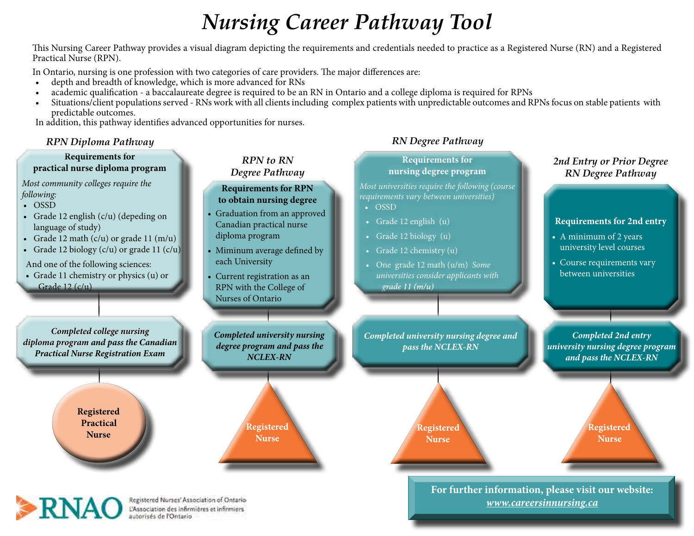# *Nursing Career Pathway Tool*

This Nursing Career Pathway provides a visual diagram depicting the requirements and credentials needed to practice as a Registered Nurse (RN) and a Registered Practical Nurse (RPN).

In Ontario, nursing is one profession with two categories of care providers. The major differences are:

- depth and breadth of knowledge, which is more advanced for RNs
- academic qualification a baccalaureate degree is required to be an RN in Ontario and a college diploma is required for RPNs
- Situations/client populations served RNs work with all clients including complex patients with unpredictable outcomes and RPNs focus on stable patients with predictable outcomes.

In addition, this pathway identifies advanced opportunities for nurses.

*RPN Diploma Pathway*

#### **Requirements for practical nurse diploma program**

*Most community colleges require the following:*

- OSSD
- Grade 12 english (c/u) (depeding on language of study)
- Grade 12 math  $(c/u)$  or grade 11  $(m/u)$
- Grade 12 biology  $(c/u)$  or grade 11  $(c/u)$
- And one of the following sciences: • Grade 11 chemistry or physics (u) or
- Grade 12 (c/u)

*RPN to RN Degree Pathway*

#### **Requirements for RPN to obtain nursing degree**

- Graduation from an approved Canadian practical nurse diploma program
- Miminum average defined by each University
- Current registration as an RPN with the College of Nurses of Ontario

*Completed university nursing degree program and pass the NCLEX-RN* 

> **Registered Nurse**

# *RN Degree Pathway*

**Requirements for nursing degree program**

*Most universities require the following (course requirements vary between universities)*

- OSSD
- Grade 12 english (u)
- Grade 12 biology (u)
- Grade 12 chemistry (u)
- One grade 12 math (u/m) *Some universities consider applicants with*  grade  $11(m/u)$

*Completed university nursing degree and pass the NCLEX-RN* 

## *2nd Entry or Prior Degree RN Degree Pathway*

#### **Requirements for 2nd entry**

- A minimum of 2 years university level courses
- Course requirements vary between universities

*Completed 2nd entry university nursing degree program and pass the NCLEX-RN*

**Registered Nurse**

**Registered Nurse**

**For further information, please visit our website:** *www.careersinnursing.ca*

*Completed college nursing diploma program and pass the Canadian Practical Nurse Registration Exam* 

> **Registered Practical Nurse**



Registered Nurses' Association of Ontario L'Association des infirmières et infirmiers autorisés de l'Ontario